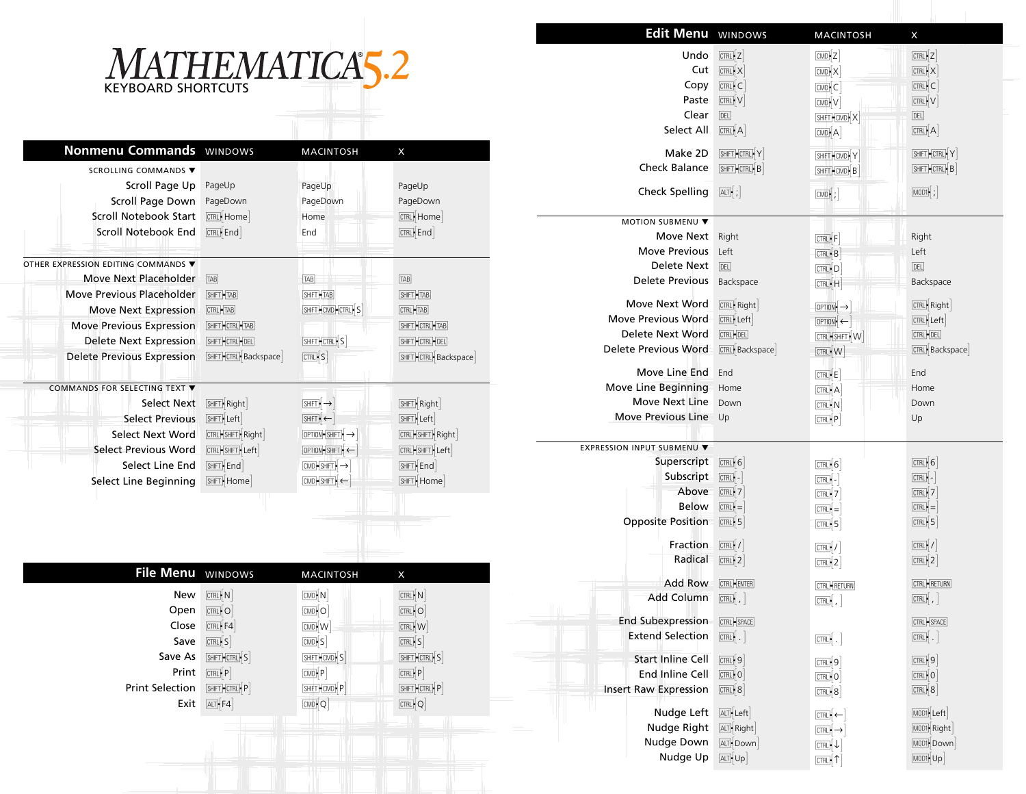

| <b>Nonmenu Commands</b>                    | <b>WINDOWS</b>       | <b>MACINTOSH</b>                                                                              | X                    |
|--------------------------------------------|----------------------|-----------------------------------------------------------------------------------------------|----------------------|
| SCROLLING COMMANDS ▼                       |                      |                                                                                               |                      |
| Scroll Page Up                             | PageUp               | PageUp                                                                                        | PageUp               |
| Scroll Page Down                           | PageDown             | PageDown                                                                                      | PageDown             |
| Scroll Notebook Start                      | $CTRL$ Home          | Home                                                                                          | $CTRL$ -Home         |
| Scroll Notebook End                        | $CTRL$ $[End]$       | End                                                                                           | $CTRL$ $[End]$       |
|                                            |                      |                                                                                               |                      |
| <b>OTHER EXPRESSION EDITING COMMANDS V</b> |                      |                                                                                               |                      |
| Move Next Placeholder                      | TAB                  | TAB                                                                                           | <b>TAB</b>           |
| Move Previous Placeholder                  | SHIFT TAB            | SHIFT TAB                                                                                     | SHIFT TAB            |
| <b>Move Next Expression</b>                | CTRL TAB             | SHIFT CMD CTRL S                                                                              | CTRL TAB             |
| <b>Move Previous Expression</b>            | SHIFT CTRL TAB       |                                                                                               | SHIFT CTRL TAB       |
| Delete Next Expression                     | SHIFT CTRL DEL       | SHIFT CTRL S                                                                                  | SHIFT CTRL DEL       |
| <b>Delete Previous Expression</b>          | SHIFT CTRL Backspace | CTRL S                                                                                        | SHIFT CTRL Backspace |
|                                            |                      |                                                                                               |                      |
| COMMANDS FOR SELECTING TEXT ▼              |                      |                                                                                               |                      |
| <b>Select Next</b>                         | SHIFT Right          | $SHIFT$ $\rightarrow$                                                                         | SHIFT Right          |
| <b>Select Previous</b>                     | SHIFT Left           | $SHIFT$ $\leftarrow$                                                                          | SHIFT Left           |
| Select Next Word                           | CTRL SHIFT Right     | $OPTION$ SHIFT $\rightarrow$                                                                  | CTRL SHIFT Right     |
| <b>Select Previous Word</b>                | CTRL SHIFT Left      | OPTION-SHIFT-                                                                                 | CTRL SHIFT Left      |
| Select Line End                            | $SHFT$ $[End]$       | $COMD$ SHIFT $\rightarrow$                                                                    | $S\text{HFT}$ End    |
| Select Line Beginning                      | SHIFT Home           | $\boxed{\text{CMD} \blacktriangleright \text{SHIFT}} \blacktriangleright \blacktriangleright$ | SHIFT Home           |
|                                            |                      |                                                                                               |                      |
|                                            |                      |                                                                                               |                      |
|                                            |                      |                                                                                               |                      |
|                                            |                      |                                                                                               |                      |
|                                            |                      |                                                                                               |                      |
| <b>File Menu</b>                           | <b>WINDOWS</b>       | <b>MACINTOSH</b>                                                                              | X                    |

New

Close

Print Selection [SHIFT][CTRL][P]

Open **CTRL** O

Save  $\boxed{\text{CTRL}}[S]$ 

Save As [SHIFT CTRL [S]

 $Print$   $CTRL[P]$ 

 $Exit$   $AT[F4]$ 

 $CTRL$  $N$ 

 $CTRL$  $F4$ 

 $[CDN]$ 

 $[CMD]$  $O]$ 

 $[CMD]$   $W$ 

 $[CDS]$ 

 $[CMD]$  $[P]$ 

 $[CDQ]$ 

 $SHIFT$   $COMD$   $S$ 

 $SHIFT$   $COMD$   $P$ 

 $\boxed{\text{CTRL}}[N]$ 

 $CTRL[O]$ 

 $[CHL]$   $[W]$ 

 $ETRL[S]$ 

 $[CTRL]$  $P$ 

 $[CTRQ]$ 

 $SHIFT$   $CTRL$  $S$ 

 $SHIFT$   $CTRL$  $P$ 

| <b>Edit Menu WINDOWS</b>          |                                  | <b>MACINTOSH</b>               | X                                 |
|-----------------------------------|----------------------------------|--------------------------------|-----------------------------------|
| Undo<br>Cut                       | $CTRL$ $Z$<br>CTRL[X]            | $CMD$ $Z$<br>$CMD$ $X$         | $CTRL$ $Z$<br>$CTRL$ $X$          |
|                                   |                                  |                                |                                   |
| Copy                              | $CTRL$ <sup><math>C</math></sup> | $CMD$ $C$                      | $CTRL$ $C$                        |
| Paste                             | $CTRL$ $V$                       | $CMD$ $V$                      | $[CTR \sqrt ] \sqrt$              |
| Clear                             | <b>DEL</b>                       | SHIFT CMD X                    | <b>DEL</b>                        |
| Select All                        | $[CHL]$ $A$                      | CMD <sub>A</sub>               | CTRLA                             |
| Make 2D                           | SHIFT CTRL Y                     | SHIFT CMD Y                    | $SHIFT$ CTRL $Y$                  |
| Check Balance                     | SHIFT CTRL B                     | SHIFT-CMD B                    | SHIFT CTRL B                      |
| Check Spelling                    |                                  |                                |                                   |
|                                   | $AT$ ;                           | $COMD$ ;                       | $MODI$ ;                          |
| <b>MOTION SUBMENU ▼</b>           |                                  |                                |                                   |
| Move Next                         | Right                            |                                | Right                             |
| <b>Move Previous</b>              |                                  | $CTRL$ $F$                     |                                   |
|                                   | Left                             | $CTRL$ $B$                     | Left                              |
| Delete Next                       | <b>DEL</b>                       | $CTRL$ $D$                     | <b>DEL</b>                        |
| <b>Delete Previous</b>            | Backspace                        | $CTRL$ $H$                     | Backspace                         |
| Move Next Word                    | $CTRL$ $Right$                   | $OPTION \rightarrow$           | <b>CTRL</b> Right                 |
| <b>Move Previous Word</b>         | $CTRL$ $Let t$                   | $\overline{OPTION} \leftarrow$ | $CTRL$ $Let t$                    |
| Delete Next Word                  | CTRL DEL                         | CTRL SHIFT W                   | CTRL DEL                          |
| Delete Previous Word              | $ETRL$ $Backspace$               |                                | <b>CTRL</b> Backspace             |
|                                   |                                  | $CTRL$ $W$                     |                                   |
| Move Line End                     | End                              | $CTRL$ $E$                     | End                               |
| Move Line Beginning               | Home                             | $CTRL$ $A$                     | Home                              |
| Move Next Line                    | Down                             | $CTRL$ $N$                     | Down                              |
| <b>Move Previous Line</b>         | Up                               | $CTRL$ $P$                     | Up                                |
|                                   |                                  |                                |                                   |
| <b>EXPRESSION INPUT SUBMENU ▼</b> |                                  |                                |                                   |
| Superscript                       | $CTRL$ 6                         | $CTRL$ 6                       | $CTRL$ 6                          |
| Subscript                         | $CTRL$ -                         |                                | $CTRL$ -                          |
| Above                             |                                  | $CTRL$ $\lceil - \rceil$       |                                   |
|                                   | $CTRL$ 7                         | $CTRL$ 7                       | $CTRL$ 7                          |
| Below                             | $CTRL$ =                         | $CTRL$ =                       | CTRL                              |
| <b>Opposite Position</b>          | $CTRL$ 5                         | $CTRL$ 5                       | $CTRL$ 5                          |
| Fraction                          | $CTRL$ /                         | $CTRL$ /                       | $CTRL$ /                          |
| Radical                           | $CTRL$ <sup>2</sup>              | $CTRL$ <sup>2</sup>            | $CTRL$ <sup>2</sup>               |
|                                   |                                  |                                |                                   |
| Add Row                           | CTRL ENTER                       | CTRL RETURN                    | CTRL RETURN                       |
| Add Column                        | $[{\tt CTRL}[\ ,\ ]$             | $CTRL$ ,                       | $\overline{\text{CTRL}}[\; ,\; ]$ |
| <b>End Subexpression</b>          | CTRL SPACE                       |                                | CTRL SPACE                        |
| <b>Extend Selection</b>           | $\boxed{\text{CTR}} \cdot$       | $[CTR]$ .                      | $ETRL$ .                          |
| <b>Start Inline Cell</b>          | [CTR 9]                          | $CTRL$ $9$                     | $CTRL$ <sup>9</sup>               |
| End Inline Cell                   | $CTRL$ $[0]$                     | $CTRL$ $[0]$                   | $CTRL$ $[0]$                      |
| <b>Insert Raw Expression</b>      | $CTRL$ $8$                       | $CTRL$ $8$                     | $ETRL$ $8$                        |
|                                   |                                  |                                |                                   |
| Nudge Left                        | ALT Left                         | $CTRL$ $\leftarrow$            | MOD1 Left                         |
| Nudge Right                       | ALT Right                        | $CTRI \rightarrow$             | MOD1 Right                        |

 $CTRL$ 

 $\boxed{\text{CTR}}\left[\downarrow\right]$ 

 $CTRL$ <sup>1</sup>

 $\boxed{\text{MOD}}$  Down

 $\boxed{\text{MOD}}$  Up

Nudge Down [ALT] Down]

Nudge  $Up$   $AT[Up]$